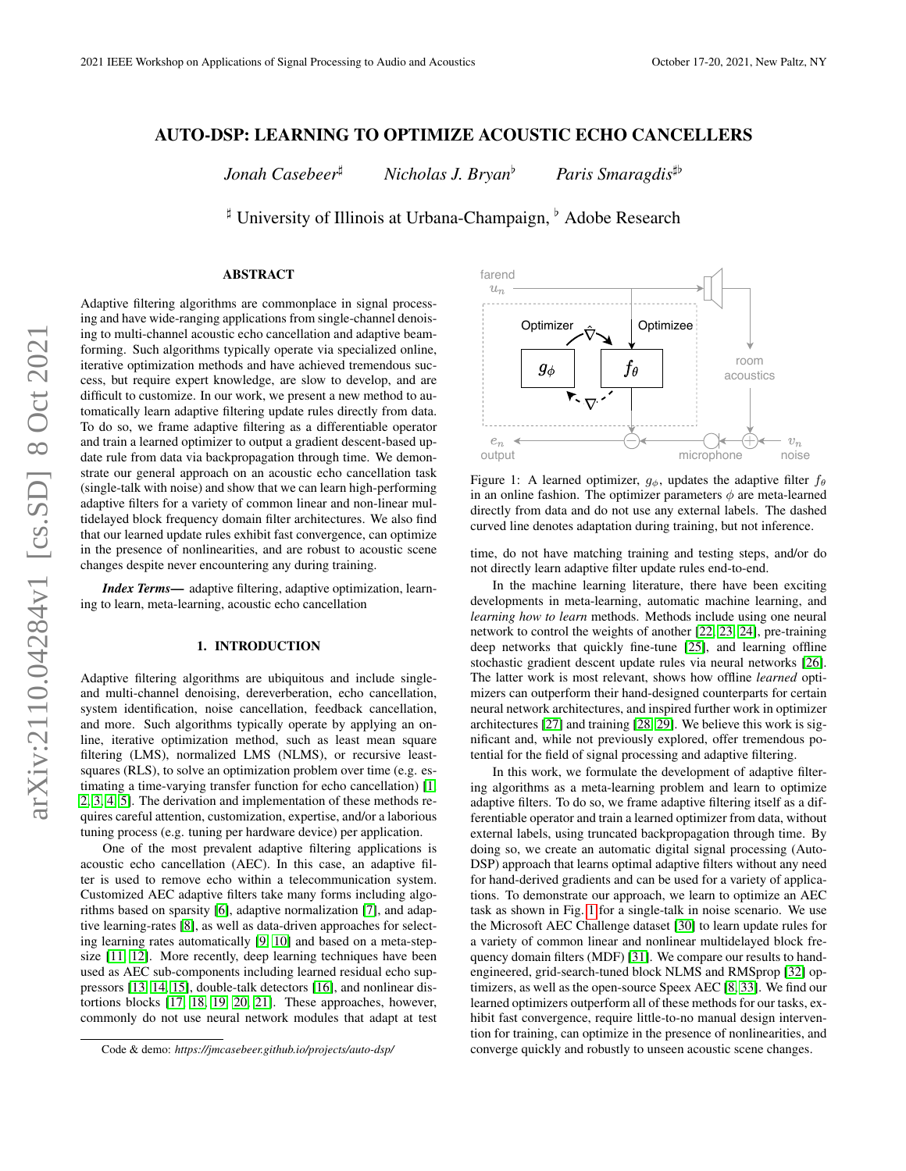# AUTO-DSP: LEARNING TO OPTIMIZE ACOUSTIC ECHO CANCELLERS

*Jonah Casebeer***<sup>#</sup>** *Nicholas J. Bryan<sup>b</sup> <i>Paris Smaragdis*<sup> $\uparrow$ b</sup>

<sup> $\sharp$ </sup> University of Illinois at Urbana-Champaign, <sup>b</sup> Adobe Research

## ABSTRACT

Adaptive filtering algorithms are commonplace in signal processing and have wide-ranging applications from single-channel denoising to multi-channel acoustic echo cancellation and adaptive beamforming. Such algorithms typically operate via specialized online, iterative optimization methods and have achieved tremendous success, but require expert knowledge, are slow to develop, and are difficult to customize. In our work, we present a new method to automatically learn adaptive filtering update rules directly from data. To do so, we frame adaptive filtering as a differentiable operator and train a learned optimizer to output a gradient descent-based update rule from data via backpropagation through time. We demonstrate our general approach on an acoustic echo cancellation task (single-talk with noise) and show that we can learn high-performing adaptive filters for a variety of common linear and non-linear multidelayed block frequency domain filter architectures. We also find that our learned update rules exhibit fast convergence, can optimize in the presence of nonlinearities, and are robust to acoustic scene changes despite never encountering any during training.

*Index Terms*— adaptive filtering, adaptive optimization, learning to learn, meta-learning, acoustic echo cancellation

#### 1. INTRODUCTION

Adaptive filtering algorithms are ubiquitous and include singleand multi-channel denoising, dereverberation, echo cancellation, system identification, noise cancellation, feedback cancellation, and more. Such algorithms typically operate by applying an online, iterative optimization method, such as least mean square filtering (LMS), normalized LMS (NLMS), or recursive leastsquares (RLS), to solve an optimization problem over time (e.g. estimating a time-varying transfer function for echo cancellation) [\[1,](#page-4-0) [2,](#page-4-1) [3,](#page-4-2) [4,](#page-4-3) [5\]](#page-4-4). The derivation and implementation of these methods requires careful attention, customization, expertise, and/or a laborious tuning process (e.g. tuning per hardware device) per application.

One of the most prevalent adaptive filtering applications is acoustic echo cancellation (AEC). In this case, an adaptive filter is used to remove echo within a telecommunication system. Customized AEC adaptive filters take many forms including algorithms based on sparsity [\[6\]](#page-4-5), adaptive normalization [\[7\]](#page-4-6), and adaptive learning-rates [\[8\]](#page-4-7), as well as data-driven approaches for selecting learning rates automatically [\[9,](#page-4-8) [10\]](#page-4-9) and based on a meta-stepsize [\[11,](#page-4-10) [12\]](#page-4-11). More recently, deep learning techniques have been used as AEC sub-components including learned residual echo suppressors [\[13,](#page-4-12) [14,](#page-4-13) [15\]](#page-4-14), double-talk detectors [\[16\]](#page-4-15), and nonlinear distortions blocks [\[17,](#page-4-16) [18,](#page-4-17) [19,](#page-4-18) [20,](#page-4-19) [21\]](#page-4-20). These approaches, however, commonly do not use neural network modules that adapt at test

<span id="page-0-0"></span>

Figure 1: A learned optimizer,  $g_{\phi}$ , updates the adaptive filter  $f_{\theta}$ in an online fashion. The optimizer parameters  $\phi$  are meta-learned directly from data and do not use any external labels. The dashed curved line denotes adaptation during training, but not inference.

time, do not have matching training and testing steps, and/or do not directly learn adaptive filter update rules end-to-end.

In the machine learning literature, there have been exciting developments in meta-learning, automatic machine learning, and *learning how to learn* methods. Methods include using one neural network to control the weights of another [\[22,](#page-4-21) [23,](#page-4-22) [24\]](#page-4-23), pre-training deep networks that quickly fine-tune [\[25\]](#page-4-24), and learning offline stochastic gradient descent update rules via neural networks [\[26\]](#page-4-25). The latter work is most relevant, shows how offline *learned* optimizers can outperform their hand-designed counterparts for certain neural network architectures, and inspired further work in optimizer architectures [\[27\]](#page-4-26) and training [\[28,](#page-4-27) [29\]](#page-4-28). We believe this work is significant and, while not previously explored, offer tremendous potential for the field of signal processing and adaptive filtering.

In this work, we formulate the development of adaptive filtering algorithms as a meta-learning problem and learn to optimize adaptive filters. To do so, we frame adaptive filtering itself as a differentiable operator and train a learned optimizer from data, without external labels, using truncated backpropagation through time. By doing so, we create an automatic digital signal processing (Auto-DSP) approach that learns optimal adaptive filters without any need for hand-derived gradients and can be used for a variety of applications. To demonstrate our approach, we learn to optimize an AEC task as shown in Fig. [1](#page-0-0) for a single-talk in noise scenario. We use the Microsoft AEC Challenge dataset [\[30\]](#page-4-29) to learn update rules for a variety of common linear and nonlinear multidelayed block frequency domain filters (MDF) [\[31\]](#page-4-30). We compare our results to handengineered, grid-search-tuned block NLMS and RMSprop [\[32\]](#page-4-31) optimizers, as well as the open-source Speex AEC [\[8,](#page-4-7) [33\]](#page-4-32). We find our learned optimizers outperform all of these methods for our tasks, exhibit fast convergence, require little-to-no manual design intervention for training, can optimize in the presence of nonlinearities, and converge quickly and robustly to unseen acoustic scene changes.

Code & demo: *https://jmcasebeer.github.io/projects/auto-dsp/*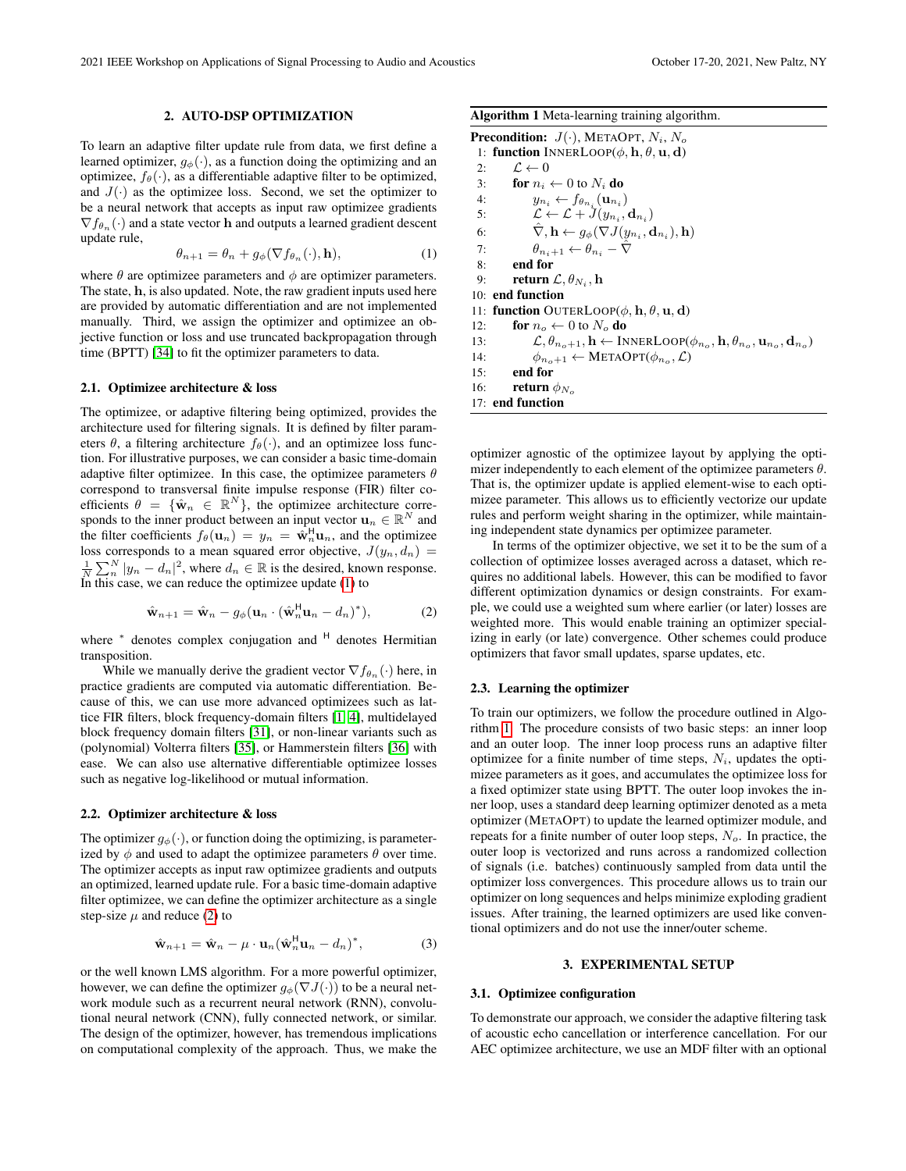#### 2. AUTO-DSP OPTIMIZATION

To learn an adaptive filter update rule from data, we first define a learned optimizer,  $g_{\phi}(\cdot)$ , as a function doing the optimizing and an optimizee,  $f_{\theta}(\cdot)$ , as a differentiable adaptive filter to be optimized, and  $J(\cdot)$  as the optimizee loss. Second, we set the optimizer to be a neural network that accepts as input raw optimizee gradients  $\nabla f_{\theta_n}(\cdot)$  and a state vector **h** and outputs a learned gradient descent update rule,

<span id="page-1-0"></span>
$$
\theta_{n+1} = \theta_n + g_{\phi}(\nabla f_{\theta_n}(\cdot), \mathbf{h}),\tag{1}
$$

where  $\theta$  are optimizee parameters and  $\phi$  are optimizer parameters. The state, h, is also updated. Note, the raw gradient inputs used here are provided by automatic differentiation and are not implemented manually. Third, we assign the optimizer and optimizee an objective function or loss and use truncated backpropagation through time (BPTT) [\[34\]](#page-4-33) to fit the optimizer parameters to data.

### 2.1. Optimizee architecture & loss

The optimizee, or adaptive filtering being optimized, provides the architecture used for filtering signals. It is defined by filter parameters  $\theta$ , a filtering architecture  $f_{\theta}(\cdot)$ , and an optimizee loss function. For illustrative purposes, we can consider a basic time-domain adaptive filter optimizee. In this case, the optimizee parameters  $\theta$ correspond to transversal finite impulse response (FIR) filter coefficients  $\theta = {\hat{\mathbf{w}}_n \in \mathbb{R}^N}$ , the optimizee architecture corresponds to the inner product between an input vector  $\mathbf{u}_n \in \mathbb{R}^N$  and the filter coefficients  $f_{\theta}(\mathbf{u}_n) = y_n = \hat{\mathbf{w}}_n^H \mathbf{u}_n$ , and the optimizee loss corresponds to a mean squared error objective,  $J(y_n, d_n)$  =  $\frac{1}{N} \sum_{n=1}^{N} |y_n - d_n|^2$ , where  $d_n \in \mathbb{R}$  is the desired, known response. In this case, we can reduce the optimizee update [\(1\)](#page-1-0) to

<span id="page-1-1"></span>
$$
\hat{\mathbf{w}}_{n+1} = \hat{\mathbf{w}}_n - g_{\phi}(\mathbf{u}_n \cdot (\hat{\mathbf{w}}_n^H \mathbf{u}_n - d_n)^*), \tag{2}
$$

where \* denotes complex conjugation and <sup>H</sup> denotes Hermitian transposition.

While we manually derive the gradient vector  $\nabla f_{\theta_n}(\cdot)$  here, in practice gradients are computed via automatic differentiation. Because of this, we can use more advanced optimizees such as lattice FIR filters, block frequency-domain filters [\[1,](#page-4-0) [4\]](#page-4-3), multidelayed block frequency domain filters [\[31\]](#page-4-30), or non-linear variants such as (polynomial) Volterra filters [\[35\]](#page-4-34), or Hammerstein filters [\[36\]](#page-4-35) with ease. We can also use alternative differentiable optimizee losses such as negative log-likelihood or mutual information.

#### 2.2. Optimizer architecture & loss

The optimizer  $g_{\phi}(\cdot)$ , or function doing the optimizing, is parameterized by  $\phi$  and used to adapt the optimizee parameters  $\theta$  over time. The optimizer accepts as input raw optimizee gradients and outputs an optimized, learned update rule. For a basic time-domain adaptive filter optimizee, we can define the optimizer architecture as a single step-size  $\mu$  and reduce [\(2\)](#page-1-1) to

$$
\hat{\mathbf{w}}_{n+1} = \hat{\mathbf{w}}_n - \mu \cdot \mathbf{u}_n (\hat{\mathbf{w}}_n^H \mathbf{u}_n - d_n)^*,
$$
\n(3)

or the well known LMS algorithm. For a more powerful optimizer, however, we can define the optimizer  $q_{\phi}(\nabla J(\cdot))$  to be a neural network module such as a recurrent neural network (RNN), convolutional neural network (CNN), fully connected network, or similar. The design of the optimizer, however, has tremendous implications on computational complexity of the approach. Thus, we make the

<span id="page-1-2"></span>Algorithm 1 Meta-learning training algorithm.

**Precondition:**  $J(\cdot)$ , METAOPT,  $N_i$ ,  $N_o$ 1: function INNERLOOP( $\phi$ , h,  $\theta$ , u, d) 2:  $\mathcal{L} \leftarrow 0$ 3: for  $n_i \leftarrow 0$  to  $N_i$  do 4:  $y_{n_i} \leftarrow f_{\theta_{n_i}}(\mathbf{u}_{n_i})$ 5:  $\mathcal{L} \leftarrow \mathcal{L} + \tilde{J}(y_{n_i}, \mathbf{d}_{n_i})$ 6:  $\hat{\nabla}, \mathbf{h} \leftarrow g_{\phi}(\nabla J(y_{n_i}, \mathbf{d}_{n_i}), \mathbf{h})$ 7:  $\theta_{n_i+1} \leftarrow \theta_{n_i} - \hat{\nabla}$ 8: end for 9: **return**  $\mathcal{L}, \theta_{N_i}, \mathbf{h}$ 10: end function 11: function OUTERLOOP( $\phi$ , h,  $\theta$ , u, d) 12: **for**  $n_o \leftarrow 0$  to  $N_o$  **do** 13:  $\mathcal{L}, \theta_{n_o+1}, \mathbf{h} \leftarrow \text{INNERLoop}(\phi_{n_o}, \mathbf{h}, \theta_{n_o}, \mathbf{u}_{n_o}, \mathbf{d}_{n_o})$ 14:  $\phi_{n_o+1} \leftarrow \text{METAOPT}(\phi_{n_o}, \mathcal{L})$ 15: end for 16: **return**  $\phi_{N_o}$ 17: end function

optimizer agnostic of the optimizee layout by applying the optimizer independently to each element of the optimizee parameters  $\theta$ . That is, the optimizer update is applied element-wise to each optimizee parameter. This allows us to efficiently vectorize our update rules and perform weight sharing in the optimizer, while maintaining independent state dynamics per optimizee parameter.

In terms of the optimizer objective, we set it to be the sum of a collection of optimizee losses averaged across a dataset, which requires no additional labels. However, this can be modified to favor different optimization dynamics or design constraints. For example, we could use a weighted sum where earlier (or later) losses are weighted more. This would enable training an optimizer specializing in early (or late) convergence. Other schemes could produce optimizers that favor small updates, sparse updates, etc.

### 2.3. Learning the optimizer

To train our optimizers, we follow the procedure outlined in Algorithm [1.](#page-1-2) The procedure consists of two basic steps: an inner loop and an outer loop. The inner loop process runs an adaptive filter optimizee for a finite number of time steps,  $N_i$ , updates the optimizee parameters as it goes, and accumulates the optimizee loss for a fixed optimizer state using BPTT. The outer loop invokes the inner loop, uses a standard deep learning optimizer denoted as a meta optimizer (METAOPT) to update the learned optimizer module, and repeats for a finite number of outer loop steps,  $N<sub>o</sub>$ . In practice, the outer loop is vectorized and runs across a randomized collection of signals (i.e. batches) continuously sampled from data until the optimizer loss convergences. This procedure allows us to train our optimizer on long sequences and helps minimize exploding gradient issues. After training, the learned optimizers are used like conventional optimizers and do not use the inner/outer scheme.

### 3. EXPERIMENTAL SETUP

#### 3.1. Optimizee configuration

To demonstrate our approach, we consider the adaptive filtering task of acoustic echo cancellation or interference cancellation. For our AEC optimizee architecture, we use an MDF filter with an optional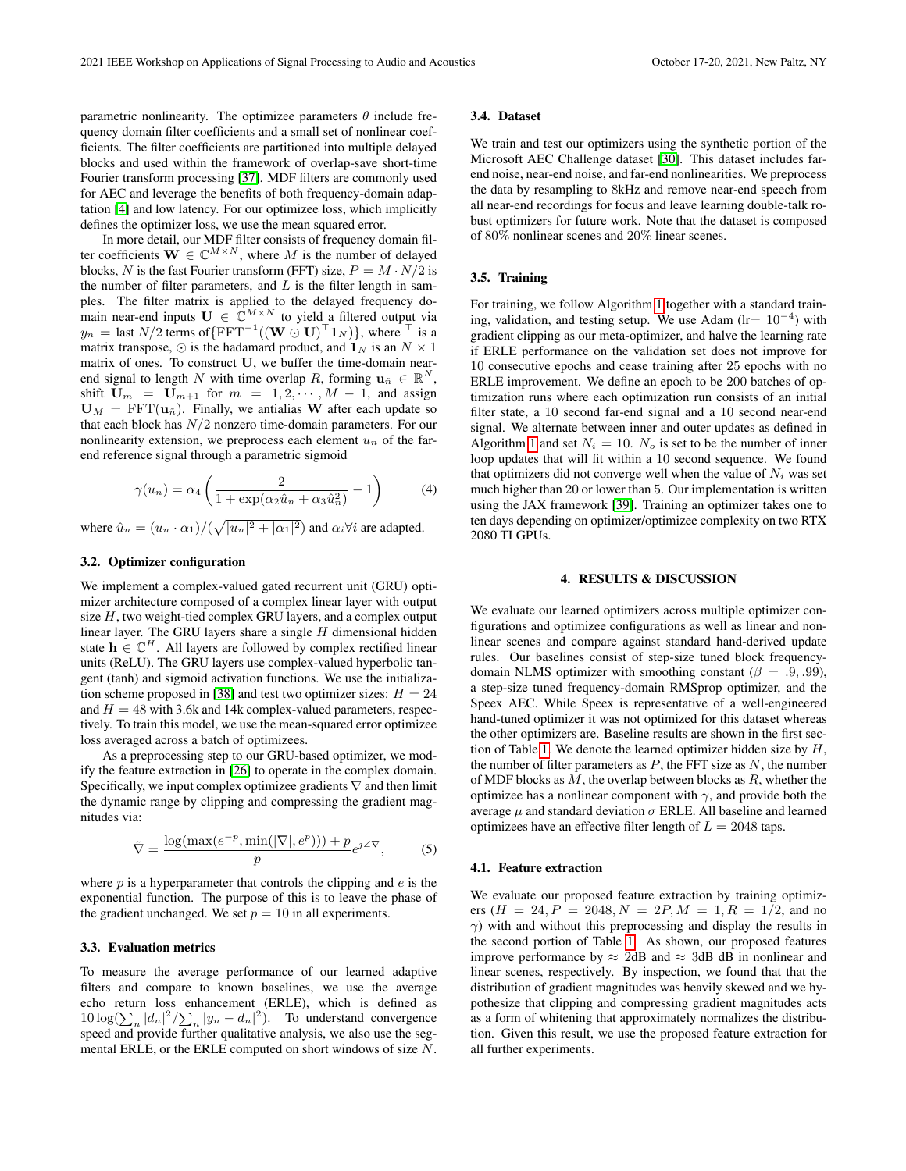parametric nonlinearity. The optimizee parameters  $\theta$  include frequency domain filter coefficients and a small set of nonlinear coefficients. The filter coefficients are partitioned into multiple delayed blocks and used within the framework of overlap-save short-time Fourier transform processing [\[37\]](#page-4-36). MDF filters are commonly used for AEC and leverage the benefits of both frequency-domain adaptation [\[4\]](#page-4-3) and low latency. For our optimizee loss, which implicitly defines the optimizer loss, we use the mean squared error.

In more detail, our MDF filter consists of frequency domain filter coefficients  $\mathbf{W} \in \mathbb{C}^{M \times N}$ , where M is the number of delayed blocks, N is the fast Fourier transform (FFT) size,  $P = M \cdot N/2$  is the number of filter parameters, and  $L$  is the filter length in samples. The filter matrix is applied to the delayed frequency domain near-end inputs  $U \in \mathbb{C}^{M \times N}$  to yield a filtered output via  $y_n =$  last  $N/2$  terms of  $\{ \mathrm{FFT}^{-1}((\mathbf{W} \odot \mathbf{U})^\top \mathbf{1}_N) \}$ , where  $\top$  is a matrix transpose,  $\odot$  is the hadamard product, and  $\mathbf{1}_N$  is an  $N \times 1$ matrix of ones. To construct U, we buffer the time-domain nearend signal to length N with time overlap R, forming  $\mathbf{u}_{\tilde{n}} \in \mathbb{R}^N$ , shift  $U_m = U_{m+1}$  for  $m = 1, 2, \cdots, M-1$ , and assign  $U_M = FFT(u_{\tilde{n}})$ . Finally, we antialias W after each update so that each block has  $N/2$  nonzero time-domain parameters. For our nonlinearity extension, we preprocess each element  $u_n$  of the farend reference signal through a parametric sigmoid

$$
\gamma(u_n) = \alpha_4 \left( \frac{2}{1 + \exp(\alpha_2 \hat{u}_n + \alpha_3 \hat{u}_n^2)} - 1 \right) \tag{4}
$$

where  $\hat{u}_n = (u_n \cdot \alpha_1) / (\sqrt{|u_n|^2 + |\alpha_1|^2})$  and  $\alpha_i \forall i$  are adapted.

### 3.2. Optimizer configuration

We implement a complex-valued gated recurrent unit (GRU) optimizer architecture composed of a complex linear layer with output size  $H$ , two weight-tied complex GRU layers, and a complex output linear layer. The GRU layers share a single  $H$  dimensional hidden state  $h \in \mathbb{C}^H$ . All layers are followed by complex rectified linear units (ReLU). The GRU layers use complex-valued hyperbolic tangent (tanh) and sigmoid activation functions. We use the initializa-tion scheme proposed in [\[38\]](#page-4-37) and test two optimizer sizes:  $H = 24$ and  $H = 48$  with 3.6k and 14k complex-valued parameters, respectively. To train this model, we use the mean-squared error optimizee loss averaged across a batch of optimizees.

As a preprocessing step to our GRU-based optimizer, we modify the feature extraction in [\[26\]](#page-4-25) to operate in the complex domain. Specifically, we input complex optimizee gradients  $\nabla$  and then limit the dynamic range by clipping and compressing the gradient magnitudes via:

$$
\tilde{\nabla} = \frac{\log(\max(e^{-p}, \min(|\nabla|, e^p))) + p}{p} e^{j\angle \nabla},
$$
 (5)

where  $p$  is a hyperparameter that controls the clipping and  $e$  is the exponential function. The purpose of this is to leave the phase of the gradient unchanged. We set  $p = 10$  in all experiments.

### 3.3. Evaluation metrics

To measure the average performance of our learned adaptive filters and compare to known baselines, we use the average echo return loss enhancement (ERLE), which is defined as  $10 \log(\sum_n |d_n|^2 / \sum_n |y_n - d_n|^2)$ . To understand convergence speed and provide further qualitative analysis, we also use the segmental ERLE, or the ERLE computed on short windows of size N.

#### 3.4. Dataset

We train and test our optimizers using the synthetic portion of the Microsoft AEC Challenge dataset [\[30\]](#page-4-29). This dataset includes farend noise, near-end noise, and far-end nonlinearities. We preprocess the data by resampling to 8kHz and remove near-end speech from all near-end recordings for focus and leave learning double-talk robust optimizers for future work. Note that the dataset is composed of 80% nonlinear scenes and 20% linear scenes.

## 3.5. Training

For training, we follow Algorithm [1](#page-1-2) together with a standard training, validation, and testing setup. We use Adam (lr=  $10^{-4}$ ) with gradient clipping as our meta-optimizer, and halve the learning rate if ERLE performance on the validation set does not improve for 10 consecutive epochs and cease training after 25 epochs with no ERLE improvement. We define an epoch to be 200 batches of optimization runs where each optimization run consists of an initial filter state, a 10 second far-end signal and a 10 second near-end signal. We alternate between inner and outer updates as defined in Algorithm [1](#page-1-2) and set  $N_i = 10$ .  $N_o$  is set to be the number of inner loop updates that will fit within a 10 second sequence. We found that optimizers did not converge well when the value of  $N_i$  was set much higher than 20 or lower than 5. Our implementation is written using the JAX framework [\[39\]](#page-4-38). Training an optimizer takes one to ten days depending on optimizer/optimizee complexity on two RTX 2080 TI GPUs.

### 4. RESULTS & DISCUSSION

We evaluate our learned optimizers across multiple optimizer configurations and optimizee configurations as well as linear and nonlinear scenes and compare against standard hand-derived update rules. Our baselines consist of step-size tuned block frequencydomain NLMS optimizer with smoothing constant ( $\beta = .9, .99$ ), a step-size tuned frequency-domain RMSprop optimizer, and the Speex AEC. While Speex is representative of a well-engineered hand-tuned optimizer it was not optimized for this dataset whereas the other optimizers are. Baseline results are shown in the first sec-tion of Table [1.](#page-3-0) We denote the learned optimizer hidden size by  $H$ , the number of filter parameters as  $P$ , the FFT size as  $N$ , the number of MDF blocks as  $M$ , the overlap between blocks as  $R$ , whether the optimizee has a nonlinear component with  $\gamma$ , and provide both the average  $\mu$  and standard deviation  $\sigma$  ERLE. All baseline and learned optimizees have an effective filter length of  $L = 2048$  taps.

## 4.1. Feature extraction

We evaluate our proposed feature extraction by training optimizers  $(H = 24, P = 2048, N = 2P, M = 1, R = 1/2,$  and no  $\gamma$ ) with and without this preprocessing and display the results in the second portion of Table [1.](#page-3-0) As shown, our proposed features improve performance by  $\approx 2dB$  and  $\approx 3dB$  dB in nonlinear and linear scenes, respectively. By inspection, we found that that the distribution of gradient magnitudes was heavily skewed and we hypothesize that clipping and compressing gradient magnitudes acts as a form of whitening that approximately normalizes the distribution. Given this result, we use the proposed feature extraction for all further experiments.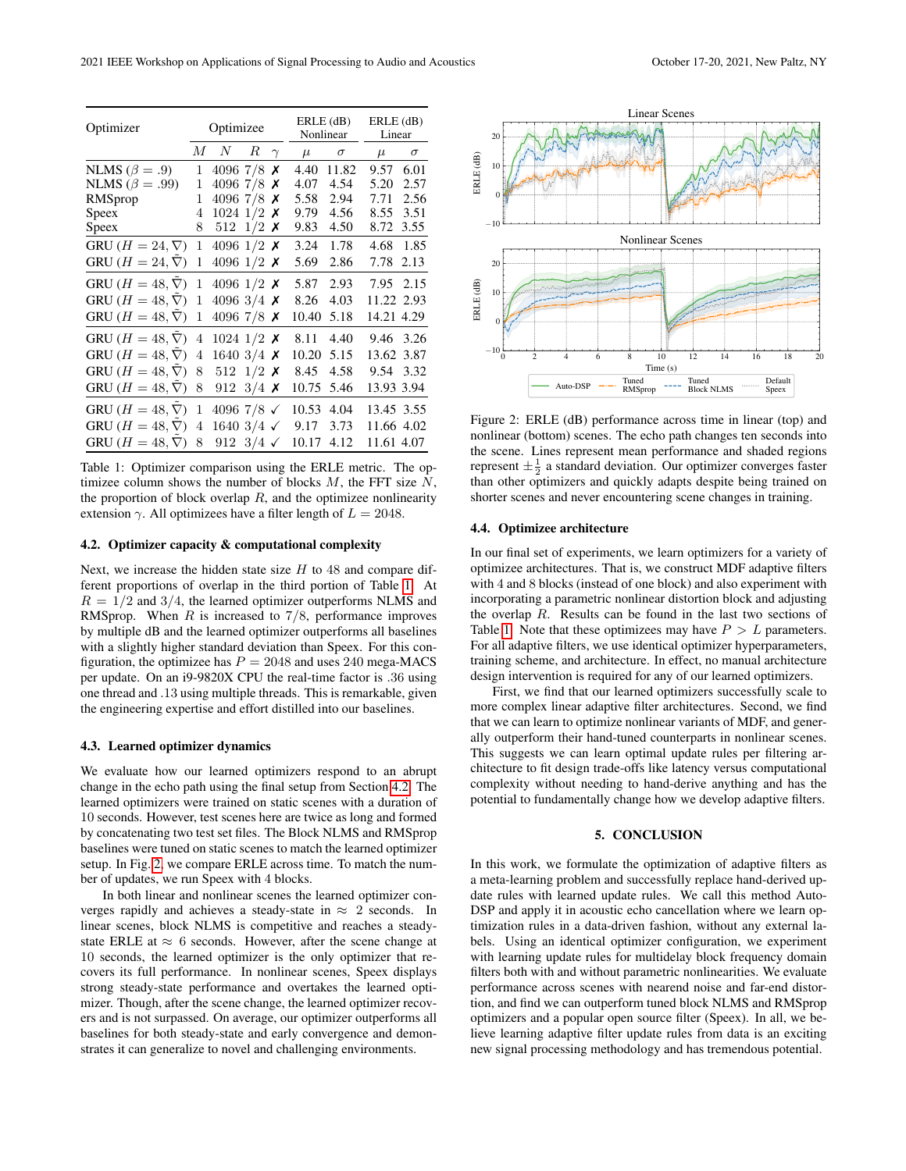<span id="page-3-0"></span>

| Optimizer                      | Optimizee      |                       |        | $ERLE$ (dB)<br>Nonlinear |       | $ERLE$ (dB)<br>Linear |            |          |
|--------------------------------|----------------|-----------------------|--------|--------------------------|-------|-----------------------|------------|----------|
|                                | $M_{-}$        | N                     | $_{R}$ | $\gamma$                 | $\mu$ | $\sigma$              | $\mu$      | $\sigma$ |
| NLMS ( $\beta = .9$ )          | 1              | 4096 7/8              |        | х                        | 4.40  | 11.82                 | 9.57       | 6.01     |
| NLMS ( $\beta = .99$ )         | 1              | 4096 7/8              |        | х                        | 4.07  | 4.54                  | 5.20       | 2.57     |
| RMSprop                        | 1              | 4096 7/8              |        | х                        | 5.58  | 2.94                  | 7.71       | 2.56     |
| Speex                          | 4              | 1024 1/2              |        | Х                        | 9.79  | 4.56                  | 8.55       | 3.51     |
| Speex                          | 8              | 512 1/2 $\times$      |        |                          | 9.83  | 4.50                  | 8.72       | 3.55     |
| GRU $(H = 24, \nabla)$         | 1              | 4096 1/2 $\times$     |        |                          | 3.24  | 1.78                  | 4.68       | 1.85     |
| GRU ( $H = 24, \nabla$ )       | 1              | 4096 $1/2$ X          |        |                          | 5.69  | 2.86                  | 7.78       | 2.13     |
| GRU ( $H = 48, \overline{V}$ ) | 1              | 4096 1/2 $\times$     |        |                          | 5.87  | 2.93                  | 7.95       | 2.15     |
| GRU ( $H = 48, \nabla$ )       | 1              | 4096 3/4 $\times$     |        |                          | 8.26  | 4.03                  | 11.22 2.93 |          |
| GRU ( $H = 48, \nabla$ )       | 1              | 4096 7/8 $\times$     |        |                          | 10.40 | 5.18                  | 14.21 4.29 |          |
| GRU ( $H = 48, \overline{V}$ ) | 4              | 1024 1/2 $\times$     |        |                          | 8.11  | 4.40                  | 9.46       | 3.26     |
| GRU ( $H = 48, \nabla$ )       | 4              | 1640 $3/4$ X          |        |                          | 10.20 | 5.15                  | 13.62 3.87 |          |
| GRU ( $H = 48, \nabla$ )       | 8              | 512 $1/2$ X           |        |                          | 8.45  | 4.58                  | 9.54       | 3.32     |
| GRU ( $H = 48, \nabla$ )       | 8              | 912 $3/4$ X           |        |                          | 10.75 | 5.46                  | 13.93 3.94 |          |
| GRU ( $H = 48, \nabla$ )       | 1              | 4096 7/8 $\checkmark$ |        |                          | 10.53 | 4.04                  | 13.45 3.55 |          |
| GRU $(H = 48, \nabla)$         | $\overline{4}$ | 1640 $3/4 \checkmark$ |        |                          | 9.17  | 3.73                  | 11.66 4.02 |          |
| GRU $(H = 48, \nabla)$         | 8              | 912 $3/4 \checkmark$  |        |                          | 10.17 | 4.12                  | 11.61 4.07 |          |

Table 1: Optimizer comparison using the ERLE metric. The optimizee column shows the number of blocks  $M$ , the FFT size  $N$ , the proportion of block overlap  $R$ , and the optimizee nonlinearity extension  $\gamma$ . All optimizees have a filter length of  $L = 2048$ .

## <span id="page-3-1"></span>4.2. Optimizer capacity & computational complexity

Next, we increase the hidden state size  $H$  to 48 and compare different proportions of overlap in the third portion of Table [1.](#page-3-0) At  $R = 1/2$  and 3/4, the learned optimizer outperforms NLMS and RMSprop. When  $R$  is increased to 7/8, performance improves by multiple dB and the learned optimizer outperforms all baselines with a slightly higher standard deviation than Speex. For this configuration, the optimizee has  $P = 2048$  and uses 240 mega-MACS per update. On an i9-9820X CPU the real-time factor is .36 using one thread and .13 using multiple threads. This is remarkable, given the engineering expertise and effort distilled into our baselines.

## 4.3. Learned optimizer dynamics

We evaluate how our learned optimizers respond to an abrupt change in the echo path using the final setup from Section [4.2.](#page-3-1) The learned optimizers were trained on static scenes with a duration of 10 seconds. However, test scenes here are twice as long and formed by concatenating two test set files. The Block NLMS and RMSprop baselines were tuned on static scenes to match the learned optimizer setup. In Fig. [2,](#page-3-2) we compare ERLE across time. To match the number of updates, we run Speex with 4 blocks.

In both linear and nonlinear scenes the learned optimizer converges rapidly and achieves a steady-state in  $\approx$  2 seconds. In linear scenes, block NLMS is competitive and reaches a steadystate ERLE at  $\approx 6$  seconds. However, after the scene change at 10 seconds, the learned optimizer is the only optimizer that recovers its full performance. In nonlinear scenes, Speex displays strong steady-state performance and overtakes the learned optimizer. Though, after the scene change, the learned optimizer recovers and is not surpassed. On average, our optimizer outperforms all baselines for both steady-state and early convergence and demonstrates it can generalize to novel and challenging environments.

<span id="page-3-2"></span>

Figure 2: ERLE (dB) performance across time in linear (top) and nonlinear (bottom) scenes. The echo path changes ten seconds into the scene. Lines represent mean performance and shaded regions represent  $\pm \frac{1}{2}$  a standard deviation. Our optimizer converges faster than other optimizers and quickly adapts despite being trained on shorter scenes and never encountering scene changes in training.

#### 4.4. Optimizee architecture

In our final set of experiments, we learn optimizers for a variety of optimizee architectures. That is, we construct MDF adaptive filters with 4 and 8 blocks (instead of one block) and also experiment with incorporating a parametric nonlinear distortion block and adjusting the overlap  $R$ . Results can be found in the last two sections of Table [1.](#page-3-0) Note that these optimizees may have  $P > L$  parameters. For all adaptive filters, we use identical optimizer hyperparameters, training scheme, and architecture. In effect, no manual architecture design intervention is required for any of our learned optimizers.

First, we find that our learned optimizers successfully scale to more complex linear adaptive filter architectures. Second, we find that we can learn to optimize nonlinear variants of MDF, and generally outperform their hand-tuned counterparts in nonlinear scenes. This suggests we can learn optimal update rules per filtering architecture to fit design trade-offs like latency versus computational complexity without needing to hand-derive anything and has the potential to fundamentally change how we develop adaptive filters.

#### 5. CONCLUSION

In this work, we formulate the optimization of adaptive filters as a meta-learning problem and successfully replace hand-derived update rules with learned update rules. We call this method Auto-DSP and apply it in acoustic echo cancellation where we learn optimization rules in a data-driven fashion, without any external labels. Using an identical optimizer configuration, we experiment with learning update rules for multidelay block frequency domain filters both with and without parametric nonlinearities. We evaluate performance across scenes with nearend noise and far-end distortion, and find we can outperform tuned block NLMS and RMSprop optimizers and a popular open source filter (Speex). In all, we believe learning adaptive filter update rules from data is an exciting new signal processing methodology and has tremendous potential.